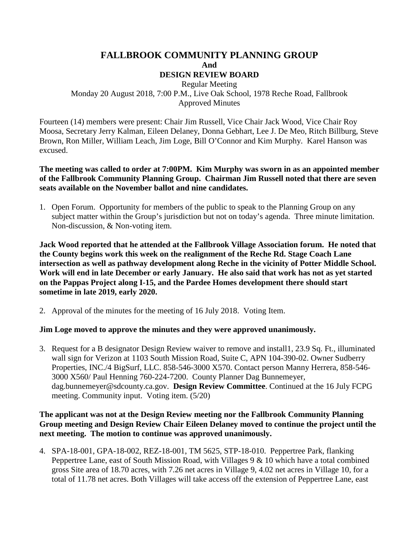## **FALLBROOK COMMUNITY PLANNING GROUP And DESIGN REVIEW BOARD**

Regular Meeting Monday 20 August 2018, 7:00 P.M., Live Oak School, 1978 Reche Road, Fallbrook Approved Minutes

Fourteen (14) members were present: Chair Jim Russell, Vice Chair Jack Wood, Vice Chair Roy Moosa, Secretary Jerry Kalman, Eileen Delaney, Donna Gebhart, Lee J. De Meo, Ritch Billburg, Steve Brown, Ron Miller, William Leach, Jim Loge, Bill O'Connor and Kim Murphy. Karel Hanson was excused.

**The meeting was called to order at 7:00PM. Kim Murphy was sworn in as an appointed member of the Fallbrook Community Planning Group. Chairman Jim Russell noted that there are seven seats available on the November ballot and nine candidates.**

1. Open Forum. Opportunity for members of the public to speak to the Planning Group on any subject matter within the Group's jurisdiction but not on today's agenda. Three minute limitation. Non-discussion, & Non-voting item.

**Jack Wood reported that he attended at the Fallbrook Village Association forum. He noted that the County begins work this week on the realignment of the Reche Rd. Stage Coach Lane intersection as well as pathway development along Reche in the vicinity of Potter Middle School. Work will end in late December or early January. He also said that work has not as yet started on the Pappas Project along I-15, and the Pardee Homes development there should start sometime in late 2019, early 2020.**

2. Approval of the minutes for the meeting of 16 July 2018. Voting Item.

## **Jim Loge moved to approve the minutes and they were approved unanimously.**

3. Request for a B designator Design Review waiver to remove and install1, 23.9 Sq. Ft., illuminated wall sign for Verizon at 1103 South Mission Road, Suite C, APN 104-390-02. Owner Sudberry Properties, INC./4 BigSurf, LLC. 858-546-3000 X570. Contact person Manny Herrera, 858-546- 3000 X560/ Paul Henning 760-224-7200. County Planner Dag Bunnemeyer, dag.bunnemeyer@sdcounty.ca.gov. **Design Review Committee**. Continued at the 16 July FCPG meeting. Community input. Voting item. (5/20)

## **The applicant was not at the Design Review meeting nor the Fallbrook Community Planning Group meeting and Design Review Chair Eileen Delaney moved to continue the project until the next meeting. The motion to continue was approved unanimously.**

4. SPA-18-001, GPA-18-002, REZ-18-001, TM 5625, STP-18-010. Peppertree Park, flanking Peppertree Lane, east of South Mission Road, with Villages 9 & 10 which have a total combined gross Site area of 18.70 acres, with 7.26 net acres in Village 9, 4.02 net acres in Village 10, for a total of 11.78 net acres. Both Villages will take access off the extension of Peppertree Lane, east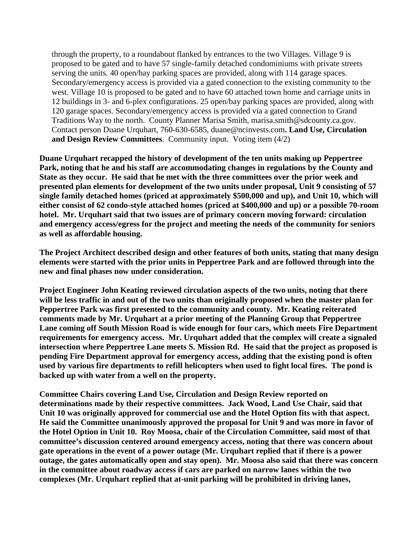through the property, to a roundabout flanked by entrances to the two Villages. Village 9 is proposed to be gated and to have 57 single-family detached condominiums with private streets serving the units. 40 open/bay parking spaces are provided, along with 114 garage spaces. Secondary/emergency access is provided via a gated connection to the existing community to the west. Village 10 is proposed to be gated and to have 60 attached town home and carriage units in 12 buildings in 3- and 6-plex configurations. 25 open/bay parking spaces are provided, along with 120 garage spaces. Secondary/emergency access is provided via a gated connection to Grand Traditions Way to the north. County Planner Marisa Smith, marisa.smith@sdcounty.ca.gov. Contact person Duane Urquhart, 760-630-6585, duane@ncinvests.com**. Land Use, Circulation and Design Review Committees**. Community input. Voting item (4/2)

**Duane Urquhart recapped the history of development of the ten units making up Peppertree Park, noting that he and his staff are accommodating changes in regulations by the County and State as they occur. He said that he met with the three committees over the prior week and presented plan elements for development of the two units under proposal, Unit 9 consisting of 57 single family detached homes (priced at approximately \$500,000 and up), and Unit 10, which will either consist of 62 condo-style attached homes (priced at \$400,000 and up) or a possible 70-room hotel. Mr. Urquhart said that two issues are of primary concern moving forward: circulation and emergency access/egress for the project and meeting the needs of the community for seniors as well as affordable housing.** 

**The Project Architect described design and other features of both units, stating that many design elements were started with the prior units in Peppertree Park and are followed through into the new and final phases now under consideration.** 

**Project Engineer John Keating reviewed circulation aspects of the two units, noting that there will be less traffic in and out of the two units than originally proposed when the master plan for Peppertree Park was first presented to the community and county. Mr. Keating reiterated comments made by Mr. Urquhart at a prior meeting of the Planning Group that Peppertree Lane coming off South Mission Road is wide enough for four cars, which meets Fire Department requirements for emergency access. Mr. Urquhart added that the complex will create a signaled intersection where Peppertree Lane meets S. Mission Rd. He said that the project as proposed is pending Fire Department approval for emergency access, adding that the existing pond is often used by various fire departments to refill helicopters when used to fight local fires. The pond is backed up with water from a well on the property.**

**Committee Chairs covering Land Use, Circulation and Design Review reported on determinations made by their respective committees. Jack Wood, Land Use Chair, said that Unit 10 was originally approved for commercial use and the Hotel Option fits with that aspect. He said the Committee unanimously approved the proposal for Unit 9 and was more in favor of the Hotel Option in Unit 10. Roy Moosa, chair of the Circulation Committee, said most of that committee's discussion centered around emergency access, noting that there was concern about gate operations in the event of a power outage (Mr. Urquhart replied that if there is a power outage, the gates automatically open and stay open). Mr. Moosa also said that there was concern in the committee about roadway access if cars are parked on narrow lanes within the two complexes (Mr. Urquhart replied that at-unit parking will be prohibited in driving lanes,**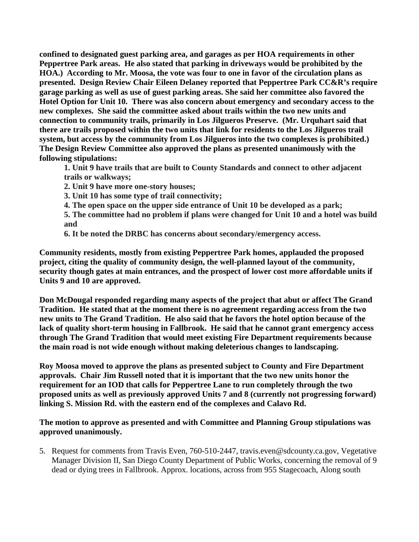**confined to designated guest parking area, and garages as per HOA requirements in other Peppertree Park areas. He also stated that parking in driveways would be prohibited by the HOA.) According to Mr. Moosa, the vote was four to one in favor of the circulation plans as presented. Design Review Chair Eileen Delaney reported that Peppertree Park CC&R's require garage parking as well as use of guest parking areas. She said her committee also favored the Hotel Option for Unit 10. There was also concern about emergency and secondary access to the new complexes. She said the committee asked about trails within the two new units and connection to community trails, primarily in Los Jilgueros Preserve. (Mr. Urquhart said that there are trails proposed within the two units that link for residents to the Los Jilgueros trail system, but access by the community from Los Jilgueros into the two complexes is prohibited.) The Design Review Committee also approved the plans as presented unanimously with the following stipulations:**

**1. Unit 9 have trails that are built to County Standards and connect to other adjacent trails or walkways;** 

**2. Unit 9 have more one-story houses;** 

**3. Unit 10 has some type of trail connectivity;** 

**4. The open space on the upper side entrance of Unit 10 be developed as a park;** 

**5. The committee had no problem if plans were changed for Unit 10 and a hotel was build and** 

**6. It be noted the DRBC has concerns about secondary/emergency access.**

**Community residents, mostly from existing Peppertree Park homes, applauded the proposed project, citing the quality of community design, the well-planned layout of the community, security though gates at main entrances, and the prospect of lower cost more affordable units if Units 9 and 10 are approved.** 

**Don McDougal responded regarding many aspects of the project that abut or affect The Grand Tradition. He stated that at the moment there is no agreement regarding access from the two new units to The Grand Tradition. He also said that he favors the hotel option because of the lack of quality short-term housing in Fallbrook. He said that he cannot grant emergency access through The Grand Tradition that would meet existing Fire Department requirements because the main road is not wide enough without making deleterious changes to landscaping.**

**Roy Moosa moved to approve the plans as presented subject to County and Fire Department approvals. Chair Jim Russell noted that it is important that the two new units honor the requirement for an IOD that calls for Peppertree Lane to run completely through the two proposed units as well as previously approved Units 7 and 8 (currently not progressing forward) linking S. Mission Rd. with the eastern end of the complexes and Calavo Rd.** 

**The motion to approve as presented and with Committee and Planning Group stipulations was approved unanimously.**

5. Request for comments from Travis Even, 760-510-2447, travis.even@sdcounty.ca.gov, Vegetative Manager Division II, San Diego County Department of Public Works, concerning the removal of 9 dead or dying trees in Fallbrook. Approx. locations, across from 955 Stagecoach, Along south